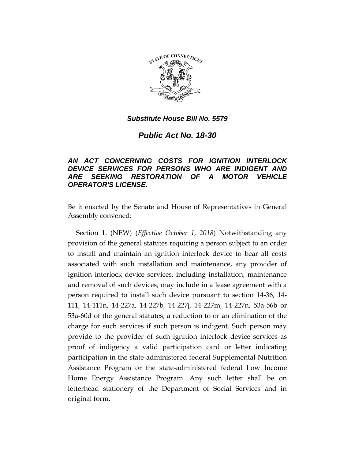

## *Substitute House Bill No. 5579*

*Public Act No. 18-30*

## *AN ACT CONCERNING COSTS FOR IGNITION INTERLOCK DEVICE SERVICES FOR PERSONS WHO ARE INDIGENT AND ARE SEEKING RESTORATION OF A MOTOR VEHICLE OPERATOR'S LICENSE.*

Be it enacted by the Senate and House of Representatives in General Assembly convened:

Section 1. (NEW) (*Effective October 1, 2018*) Notwithstanding any provision of the general statutes requiring a person subject to an order to install and maintain an ignition interlock device to bear all costs associated with such installation and maintenance, any provider of ignition interlock device services, including installation, maintenance and removal of such devices, may include in a lease agreement with a person required to install such device pursuant to section 14-36, 14- 111, 14-111n, 14-227a, 14-227b, 14-227j, 14-227m, 14-227n, 53a-56b or 53a-60d of the general statutes, a reduction to or an elimination of the charge for such services if such person is indigent. Such person may provide to the provider of such ignition interlock device services as proof of indigency a valid participation card or letter indicating participation in the state-administered federal Supplemental Nutrition Assistance Program or the state-administered federal Low Income Home Energy Assistance Program. Any such letter shall be on letterhead stationery of the Department of Social Services and in original form.